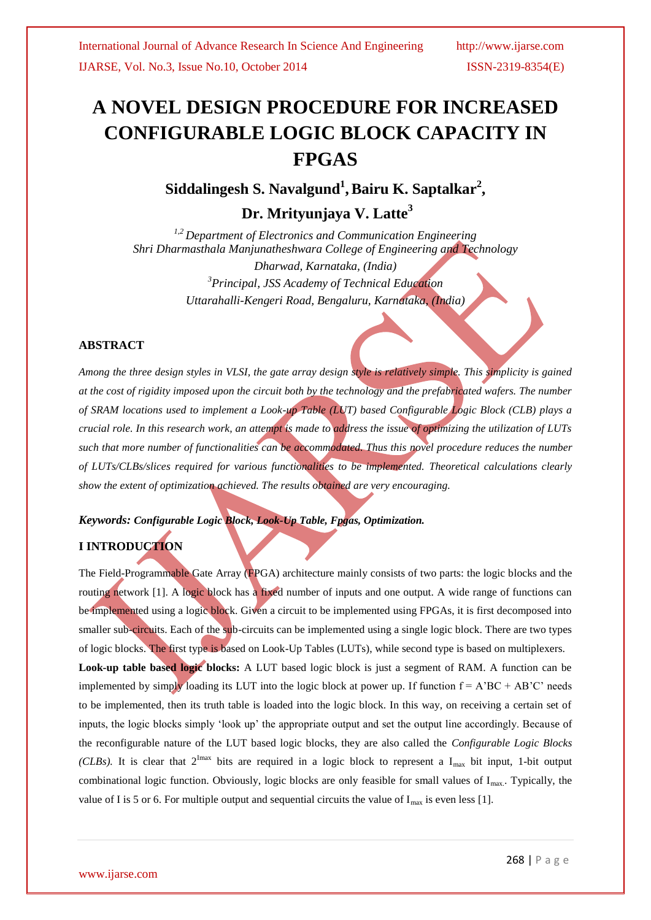# **A NOVEL DESIGN PROCEDURE FOR INCREASED CONFIGURABLE LOGIC BLOCK CAPACITY IN FPGAS**

Siddalingesh S. Navalgund<sup>1</sup>, Bairu K. Saptalkar<sup>2</sup>,

**Dr. Mrityunjaya V. Latte<sup>3</sup>**

*1,2 Department of Electronics and Communication Engineering Shri Dharmasthala Manjunatheshwara College of Engineering and Technology Dharwad, Karnataka, (India) <sup>3</sup>Principal, JSS Academy of Technical Education Uttarahalli-Kengeri Road, Bengaluru, Karnataka, (India)*

## **ABSTRACT**

*Among the three design styles in VLSI, the gate array design style is relatively simple. This simplicity is gained at the cost of rigidity imposed upon the circuit both by the technology and the prefabricated wafers. The number of SRAM locations used to implement a Look-up Table (LUT) based Configurable Logic Block (CLB) plays a crucial role. In this research work, an attempt is made to address the issue of optimizing the utilization of LUTs such that more number of functionalities can be accommodated. Thus this novel procedure reduces the number of LUTs/CLBs/slices required for various functionalities to be implemented. Theoretical calculations clearly show the extent of optimization achieved. The results obtained are very encouraging.*

### *Keywords: Configurable Logic Block, Look-Up Table, Fpgas, Optimization.*

## **I INTRODUCTION**

The Field-Programmable Gate Array (FPGA) architecture mainly consists of two parts: the logic blocks and the routing network [1]. A logic block has a fixed number of inputs and one output. A wide range of functions can be implemented using a logic block. Given a circuit to be implemented using FPGAs, it is first decomposed into smaller sub-circuits. Each of the sub-circuits can be implemented using a single logic block. There are two types of logic blocks. The first type is based on Look-Up Tables (LUTs), while second type is based on multiplexers. **Look-up table based logic blocks:** A LUT based logic block is just a segment of RAM. A function can be implemented by simply loading its LUT into the logic block at power up. If function  $f = A'BC + AB'C'$  needs to be implemented, then its truth table is loaded into the logic block. In this way, on receiving a certain set of inputs, the logic blocks simply "look up" the appropriate output and set the output line accordingly. Because of the reconfigurable nature of the LUT based logic blocks, they are also called the *Configurable Logic Blocks (CLBs).* It is clear that  $2^{Imax}$  bits are required in a logic block to represent a  $I_{max}$  bit input, 1-bit output combinational logic function. Obviously, logic blocks are only feasible for small values of I<sub>max</sub>. Typically, the value of I is 5 or 6. For multiple output and sequential circuits the value of  $I_{\text{max}}$  is even less [1].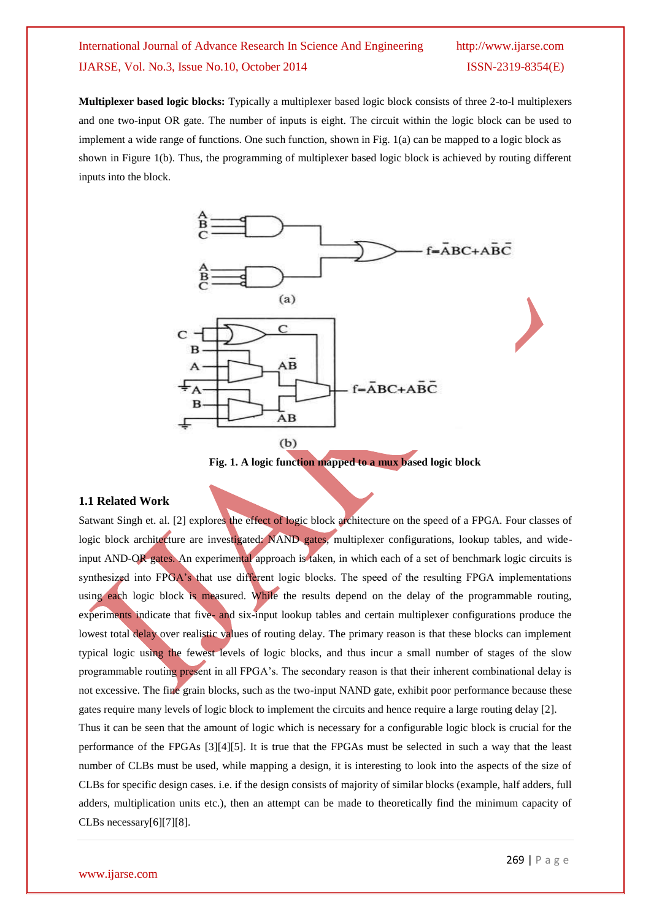## International Journal of Advance Research In Science And Engineering http://www.ijarse.com IJARSE, Vol. No.3, Issue No.10, October 2014 ISSN-2319-8354(E)

**Multiplexer based logic blocks:** Typically a multiplexer based logic block consists of three 2-to-l multiplexers and one two-input OR gate. The number of inputs is eight. The circuit within the logic block can be used to implement a wide range of functions. One such function, shown in Fig. 1(a) can be mapped to a logic block as shown in Figure 1(b). Thus, the programming of multiplexer based logic block is achieved by routing different inputs into the block.



**Fig. 1. A logic function mapped to a mux based logic block**

#### **1.1 Related Work**

Satwant Singh et. al. [2] explores the effect of logic block architecture on the speed of a FPGA. Four classes of logic block architecture are investigated: NAND gates, multiplexer configurations, lookup tables, and wideinput AND-OR gates. An experimental approach is taken, in which each of a set of benchmark logic circuits is synthesized into FPGA's that use different logic blocks. The speed of the resulting FPGA implementations using each logic block is measured. While the results depend on the delay of the programmable routing, experiments indicate that five- and six-input lookup tables and certain multiplexer configurations produce the lowest total delay over realistic values of routing delay. The primary reason is that these blocks can implement typical logic using the fewest levels of logic blocks, and thus incur a small number of stages of the slow programmable routing present in all FPGA"s. The secondary reason is that their inherent combinational delay is not excessive. The fine grain blocks, such as the two-input NAND gate, exhibit poor performance because these gates require many levels of logic block to implement the circuits and hence require a large routing delay [2]. Thus it can be seen that the amount of logic which is necessary for a configurable logic block is crucial for the performance of the FPGAs [3][4][5]. It is true that the FPGAs must be selected in such a way that the least

number of CLBs must be used, while mapping a design, it is interesting to look into the aspects of the size of CLBs for specific design cases. i.e. if the design consists of majority of similar blocks (example, half adders, full adders, multiplication units etc.), then an attempt can be made to theoretically find the minimum capacity of CLBs necessary[6][7][8].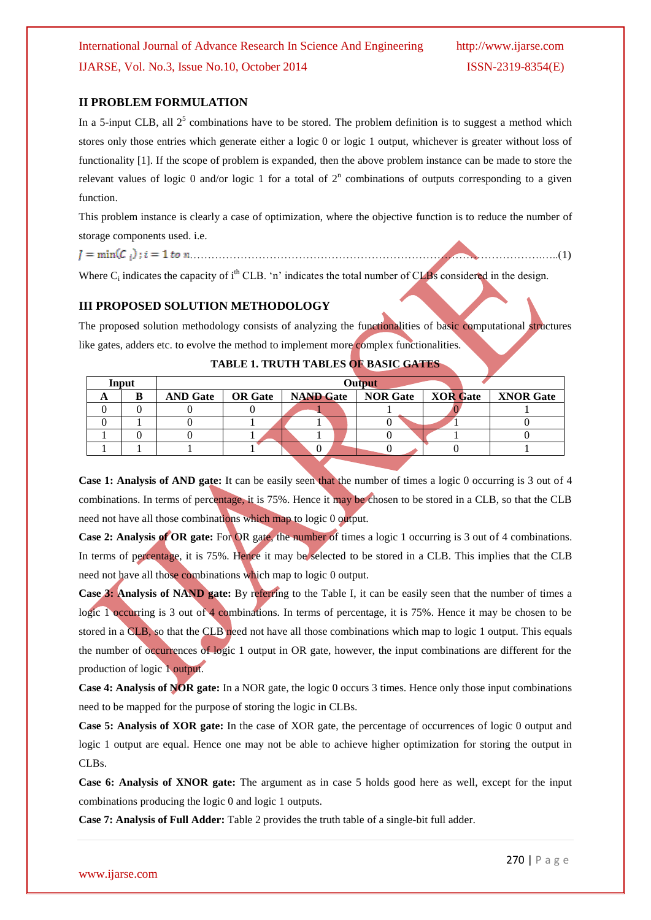### **II PROBLEM FORMULATION**

In a 5-input CLB, all  $2^5$  combinations have to be stored. The problem definition is to suggest a method which stores only those entries which generate either a logic 0 or logic 1 output, whichever is greater without loss of functionality [1]. If the scope of problem is expanded, then the above problem instance can be made to store the relevant values of logic 0 and/or logic 1 for a total of  $2<sup>n</sup>$  combinations of outputs corresponding to a given function.

This problem instance is clearly a case of optimization, where the objective function is to reduce the number of storage components used. i.e.

…………………………………………………………………………………….…..(1)

Where  $C_i$  indicates the capacity of  $i<sup>th</sup> CLB$ . 'n' indicates the total number of CLBs considered in the design.

### **III PROPOSED SOLUTION METHODOLOGY**

The proposed solution methodology consists of analyzing the functionalities of basic computational structures like gates, adders etc. to evolve the method to implement more complex functionalities.

| Input |   | <b>Output</b>   |  |                                                       |  |  |  |  |  |
|-------|---|-----------------|--|-------------------------------------------------------|--|--|--|--|--|
|       | в | <b>AND Gate</b> |  | OR Gate   NAND Gate   NOR Gate   XOR Gate   XNOR Gate |  |  |  |  |  |
|       |   |                 |  |                                                       |  |  |  |  |  |
|       |   |                 |  |                                                       |  |  |  |  |  |
|       |   |                 |  |                                                       |  |  |  |  |  |
|       |   |                 |  | υ                                                     |  |  |  |  |  |

#### **TABLE 1. TRUTH TABLES OF BASIC GATES**

**Case 1: Analysis of AND gate:** It can be easily seen that the number of times a logic 0 occurring is 3 out of 4 combinations. In terms of percentage, it is 75%. Hence it may be chosen to be stored in a CLB, so that the CLB need not have all those combinations which map to logic 0 output.

**Case 2: Analysis of OR gate:** For OR gate, the number of times a logic 1 occurring is 3 out of 4 combinations. In terms of percentage, it is 75%. Hence it may be selected to be stored in a CLB. This implies that the CLB need not have all those combinations which map to logic 0 output.

**Case 3: Analysis of NAND gate:** By referring to the Table I, it can be easily seen that the number of times a logic 1 occurring is 3 out of 4 combinations. In terms of percentage, it is 75%. Hence it may be chosen to be stored in a CLB, so that the CLB need not have all those combinations which map to logic 1 output. This equals the number of occurrences of logic 1 output in OR gate, however, the input combinations are different for the production of logic 1 output.

**Case 4: Analysis of NOR gate:** In a NOR gate, the logic 0 occurs 3 times. Hence only those input combinations need to be mapped for the purpose of storing the logic in CLBs.

**Case 5: Analysis of XOR gate:** In the case of XOR gate, the percentage of occurrences of logic 0 output and logic 1 output are equal. Hence one may not be able to achieve higher optimization for storing the output in CLBs.

**Case 6: Analysis of XNOR gate:** The argument as in case 5 holds good here as well, except for the input combinations producing the logic 0 and logic 1 outputs.

**Case 7: Analysis of Full Adder:** Table 2 provides the truth table of a single-bit full adder.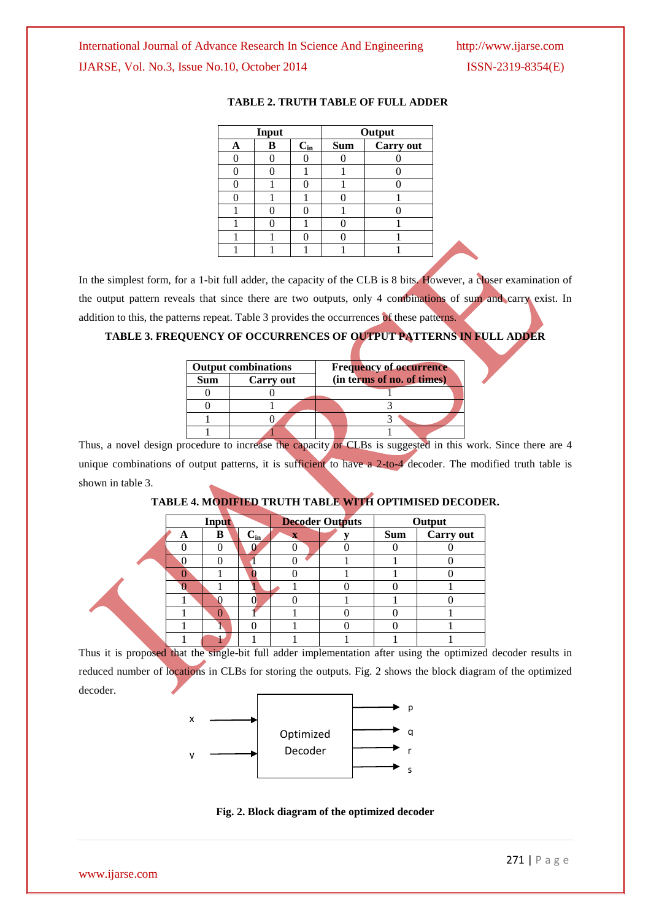|   | Input         |  | Output     |           |  |  |
|---|---------------|--|------------|-----------|--|--|
| A | $C_{in}$<br>B |  | <b>Sum</b> | Carry out |  |  |
|   |               |  |            |           |  |  |
|   |               |  |            |           |  |  |
|   |               |  |            |           |  |  |
|   |               |  |            |           |  |  |
|   |               |  |            |           |  |  |
|   |               |  |            |           |  |  |
|   |               |  |            |           |  |  |
|   |               |  |            |           |  |  |

#### **TABLE 2. TRUTH TABLE OF FULL ADDER**

In the simplest form, for a 1-bit full adder, the capacity of the CLB is 8 bits. However, a closer examination of the output pattern reveals that since there are two outputs, only 4 combinations of sum and carry exist. In addition to this, the patterns repeat. Table 3 provides the occurrences of these patterns.

## **TABLE 3. FREQUENCY OF OCCURRENCES OF OUTPUT PATTERNS IN FULL ADDER**

|     | <b>Output combinations</b> | <b>Frequency of occurrence</b> |  |  |  |  |
|-----|----------------------------|--------------------------------|--|--|--|--|
| Sum | Carry out                  | (in terms of no. of times)     |  |  |  |  |
|     |                            |                                |  |  |  |  |
|     |                            |                                |  |  |  |  |
|     |                            |                                |  |  |  |  |
|     |                            |                                |  |  |  |  |

Thus, a novel design procedure to increase the capacity or CLBs is suggested in this work. Since there are 4 unique combinations of output patterns, it is sufficient to have a 2-to-4 decoder. The modified truth table is shown in table 3.

## **TABLE 4. MODIFIED TRUTH TABLE WITH OPTIMISED DECODER.**

|   | Input |          |                         | <b>Decoder Outputs</b> |            | Output    |
|---|-------|----------|-------------------------|------------------------|------------|-----------|
| A | B     | $C_{in}$ | $\overline{\mathbf{x}}$ |                        | <b>Sum</b> | Carry out |
|   |       |          |                         |                        |            |           |
|   |       |          |                         |                        |            |           |
|   |       |          |                         |                        |            |           |
|   |       |          |                         |                        |            |           |
|   |       |          |                         |                        |            |           |
|   |       |          |                         |                        |            |           |
|   |       |          |                         |                        |            |           |
|   |       |          |                         |                        |            |           |

Thus it is proposed that the single-bit full adder implementation after using the optimized decoder results in reduced number of locations in CLBs for storing the outputs. Fig. 2 shows the block diagram of the optimized decoder.



**Fig. 2. Block diagram of the optimized decoder**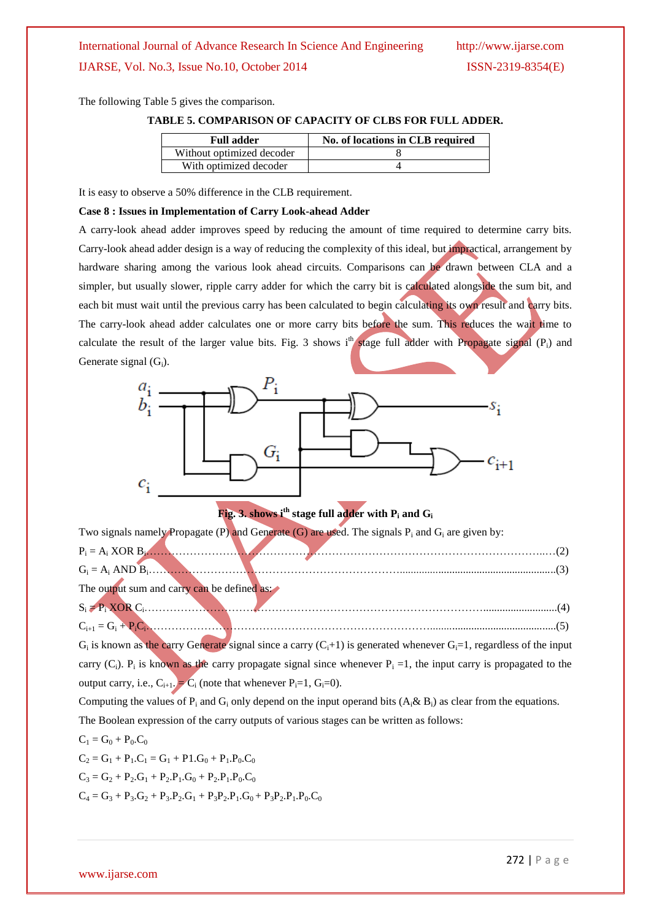The following Table 5 gives the comparison.

**TABLE 5. COMPARISON OF CAPACITY OF CLBS FOR FULL ADDER.**

| <b>Full adder</b>         | No. of locations in CLB required |  |  |  |  |
|---------------------------|----------------------------------|--|--|--|--|
| Without optimized decoder |                                  |  |  |  |  |
| With optimized decoder    |                                  |  |  |  |  |

It is easy to observe a 50% difference in the CLB requirement.

#### **Case 8 : Issues in Implementation of Carry Look-ahead Adder**

A carry-look ahead adder improves speed by reducing the amount of time required to determine carry bits. Carry-look ahead adder design is a way of reducing the complexity of this ideal, but impractical, arrangement by hardware sharing among the various look ahead circuits. Comparisons can be drawn between CLA and a simpler, but usually slower, ripple carry adder for which the carry bit is calculated alongside the sum bit, and each bit must wait until the previous carry has been calculated to begin calculating its own result and carry bits. The carry-look ahead adder calculates one or more carry bits before the sum. This reduces the wait time to calculate the result of the larger value bits. Fig. 3 shows i<sup>th</sup> stage full adder with Propagate signal (P<sub>i</sub>) and Generate signal  $(G_i)$ .



## **Fig. 3. shows i<sup>th</sup> stage full adder with P<sub>i</sub> and G<sub>i</sub>**

| Two signals namely Propagate (P) and Generate (G) are used. The signals $P_i$ and $G_i$ are given by: |  |
|-------------------------------------------------------------------------------------------------------|--|
|                                                                                                       |  |
|                                                                                                       |  |
| The output sum and carry can be defined as:                                                           |  |
|                                                                                                       |  |
| $C_{i+1} = G_i + P_i C_i$ .                                                                           |  |

 $G_i$  is known as the carry Generate signal since a carry  $(C_i+1)$  is generated whenever  $G_i=1$ , regardless of the input carry  $(C_i)$ .  $P_i$  is known as the carry propagate signal since whenever  $P_i = 1$ , the input carry is propagated to the output carry, i.e.,  $C_{i+1}$ .  $\overline{C_i}$  (note that whenever  $P_i=1$ ,  $G_i=0$ ).

Computing the values of P<sub>i</sub> and G<sub>i</sub> only depend on the input operand bits  $(A_3 \& B_1)$  as clear from the equations. The Boolean expression of the carry outputs of various stages can be written as follows:

$$
C_1 = G_0 + P_0.C_0
$$
  
\n
$$
C_2 = G_1 + P_1.C_1 = G_1 + P_1.G_0 + P_1.P_0.C_0
$$
  
\n
$$
C_3 = G_2 + P_2.G_1 + P_2.P_1.G_0 + P_2.P_1.P_0.C_0
$$
  
\n
$$
C_4 = G_3 + P_3.G_2 + P_3.P_2.G_1 + P_3P_2.P_1.G_0 + P_3P_2.P_1.P_0.C_0
$$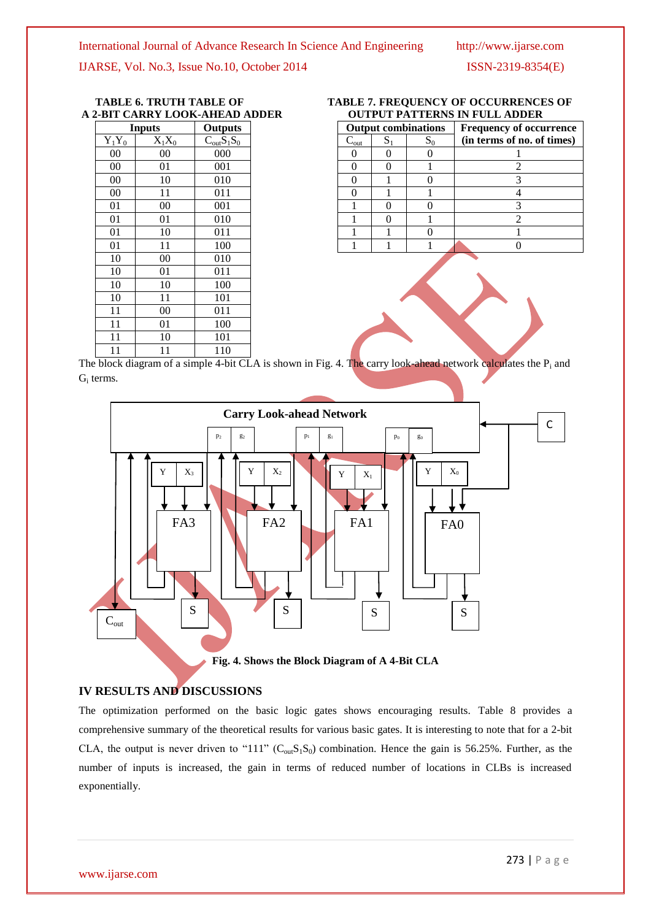IJARSE, Vol. No.3, Issue No.10, October 2014 ISSN-2319-8354(E)

## **A 2-BIT CARRY LOOK-AHEAD ADDER**

| <b>Inputs</b> | Outputs  |                 |
|---------------|----------|-----------------|
| $Y_1Y_0$      | $X_1X_0$ | $C_{out}S_1S_0$ |
| 00            | 00       | 000             |
| 00            | 01       | 001             |
| 00            | 10       | 010             |
| 00            | 11       | 011             |
| 01            | 00       | 001             |
| 01            | 01       | 010             |
| 01            | 10       | 011             |
| 01            | 11       | 100             |
| 10            | 00       | 010             |
| 10            | 01       | 011             |
| 10            | 10       | 100             |
| 10            | 11       | 101             |
| 11            | 00       | 011             |
| 11            | 01       | 100             |
| 11            | 10       | 101             |
| 11            | 11       | 110             |

| Inputs   |          | Outputs         | <b>Output combinations</b> |              |       | <b>Frequency of occurrence</b> |
|----------|----------|-----------------|----------------------------|--------------|-------|--------------------------------|
| $Y_1Y_0$ | $X_1X_0$ | $C_{out}S_1S_0$ | $\mathsf{v}_{\text{out}}$  | $\mathbf{D}$ | $S_0$ | (in terms of no. of times)     |
| 00       | 00       | 000             |                            |              |       |                                |
| 00       | 01       | 001             |                            | 0            |       |                                |
| 00       |          | 010             |                            |              |       |                                |
| 00       |          | 011             |                            |              |       |                                |
| 01       | 00       | 001             |                            | 0            |       |                                |
| 01       | 01       | 010             |                            | 0            |       |                                |
| 01       | 10       | 011             |                            |              |       |                                |
| 01       |          | 100             |                            |              |       |                                |

# **TABLE 6. TRUTH TABLE OF TABLE 7. FREQUENCY OF OCCURRENCES OF**

The block diagram of a simple 4-bit CLA is shown in Fig. 4. The carry look-ahead network calculates the  $P_i$  and Gi terms.



**Fig. 4. Shows the Block Diagram of A 4-Bit CLA**

#### **IV RESULTS AND DISCUSSIONS**

The optimization performed on the basic logic gates shows encouraging results. Table 8 provides a comprehensive summary of the theoretical results for various basic gates. It is interesting to note that for a 2-bit CLA, the output is never driven to "111"  $(C_{\text{out}}S_1S_0)$  combination. Hence the gain is 56.25%. Further, as the number of inputs is increased, the gain in terms of reduced number of locations in CLBs is increased exponentially.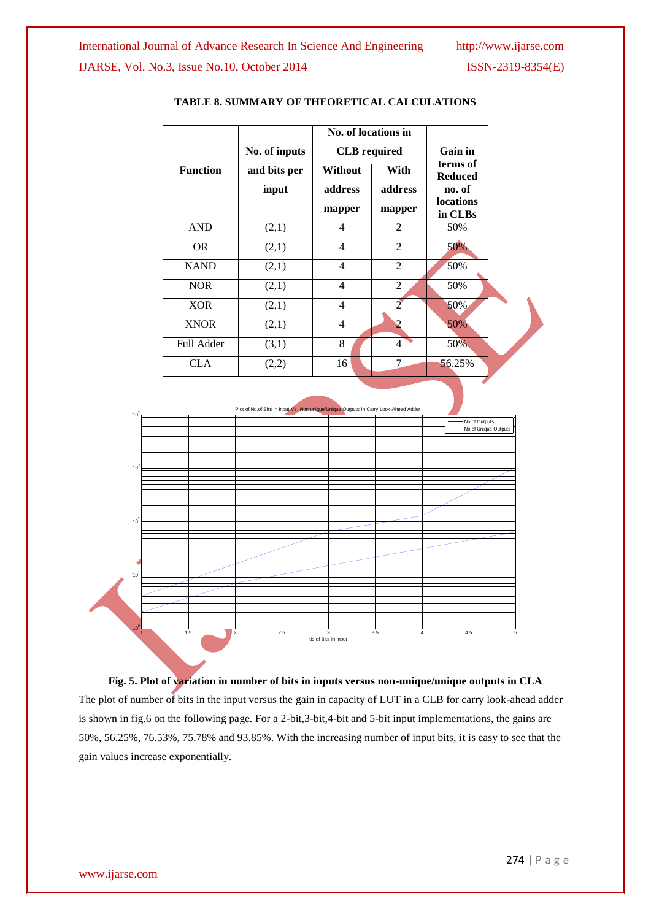

#### **TABLE 8. SUMMARY OF THEORETICAL CALCULATIONS**



**Fig. 5. Plot of variation in number of bits in inputs versus non-unique/unique outputs in CLA** The plot of number of bits in the input versus the gain in capacity of LUT in a CLB for carry look-ahead adder is shown in fig.6 on the following page. For a 2-bit,3-bit,4-bit and 5-bit input implementations, the gains are 50%, 56.25%, 76.53%, 75.78% and 93.85%. With the increasing number of input bits, it is easy to see that the gain values increase exponentially.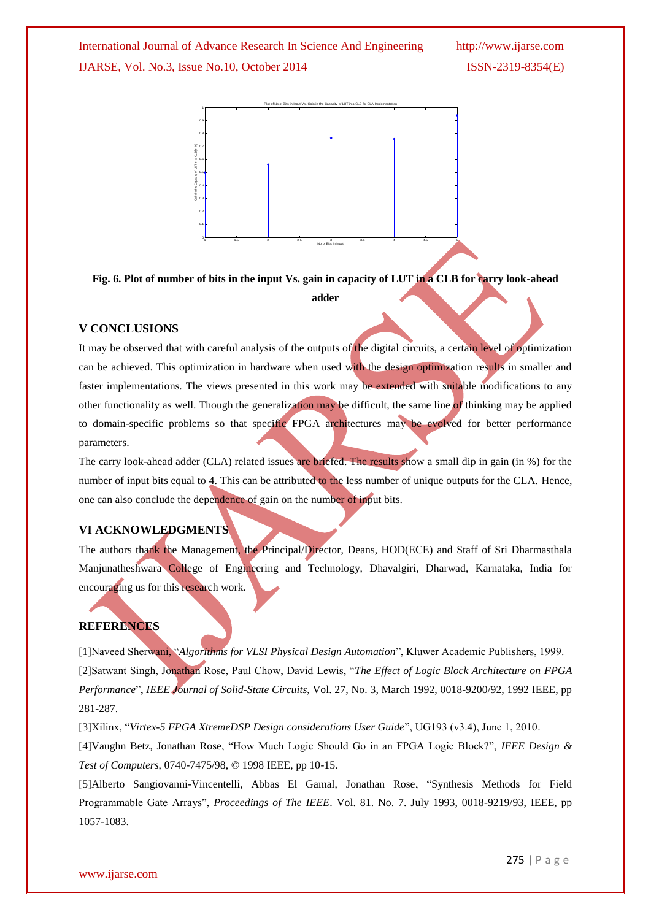International Journal of Advance Research In Science And Engineering http://www.ijarse.com IJARSE, Vol. No.3, Issue No.10, October 2014 ISSN-2319-8354(E)



**Fig. 6. Plot of number of bits in the input Vs. gain in capacity of LUT in a CLB for carry look-ahead** 

**adder**

#### **V CONCLUSIONS**

It may be observed that with careful analysis of the outputs of the digital circuits, a certain level of optimization can be achieved. This optimization in hardware when used with the design optimization results in smaller and faster implementations. The views presented in this work may be extended with suitable modifications to any other functionality as well. Though the generalization may be difficult, the same line of thinking may be applied to domain-specific problems so that specific FPGA architectures may be evolved for better performance parameters.

The carry look-ahead adder (CLA) related issues are briefed. The results show a small dip in gain (in %) for the number of input bits equal to 4. This can be attributed to the less number of unique outputs for the CLA. Hence, one can also conclude the dependence of gain on the number of input bits.

#### **VI ACKNOWLEDGMENTS**

The authors thank the Management, the Principal/Director, Deans, HOD(ECE) and Staff of Sri Dharmasthala Manjunatheshwara College of Engineering and Technology, Dhavalgiri, Dharwad, Karnataka, India for encouraging us for this research work.

#### **REFERENCES**

[1]Naveed Sherwani, "*Algorithms for VLSI Physical Design Automation*", Kluwer Academic Publishers, 1999. [2]Satwant Singh, Jonathan Rose, Paul Chow, David Lewis, "*The Effect of Logic Block Architecture on FPGA Performance*", *IEEE Journal of Solid-State Circuits*, Vol. 27, No. 3, March 1992, 0018-9200/92, 1992 IEEE, pp 281-287.

[3]Xilinx, "*Virtex-5 FPGA XtremeDSP Design considerations User Guide*", UG193 (v3.4), June 1, 2010.

[4]Vaughn Betz, Jonathan Rose, "How Much Logic Should Go in an FPGA Logic Block?", *IEEE Design & Test of Computers*, 0740-7475/98, © 1998 IEEE, pp 10-15.

[5]Alberto Sangiovanni-Vincentelli, Abbas El Gamal, Jonathan Rose, "Synthesis Methods for Field Programmable Gate Arrays", *Proceedings of The IEEE*. Vol. 81. No. 7. July 1993, 0018-9219/93, IEEE, pp 1057-1083.